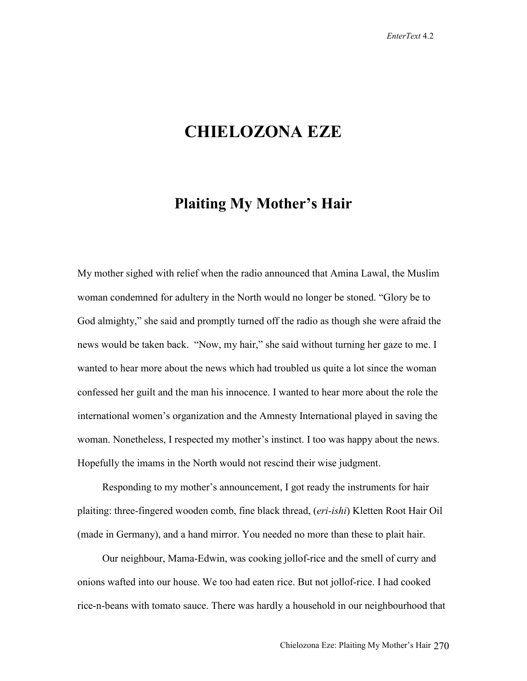## **CHIELOZONA EZE**

## **Plaiting My Mother's Hair**

My mother sighed with relief when the radio announced that Amina Lawal, the Muslim woman condemned for adultery in the North would no longer be stoned. "Glory be to God almighty," she said and promptly turned off the radio as though she were afraid the news would be taken back. "Now, my hair," she said without turning her gaze to me. I wanted to hear more about the news which had troubled us quite a lot since the woman confessed her guilt and the man his innocence. I wanted to hear more about the role the international women's organization and the Amnesty International played in saving the woman. Nonetheless, I respected my mother's instinct. I too was happy about the news. Hopefully the imams in the North would not rescind their wise judgment.

Responding to my mother's announcement, I got ready the instruments for hair plaiting: three-fingered wooden comb, fine black thread, (*eri-ishi*) Kletten Root Hair Oil (made in Germany), and a hand mirror. You needed no more than these to plait hair.

Our neighbour, Mama-Edwin, was cooking jollof-rice and the smell of curry and onions wafted into our house. We too had eaten rice. But not jollof-rice. I had cooked rice-n-beans with tomato sauce. There was hardly a household in our neighbourhood that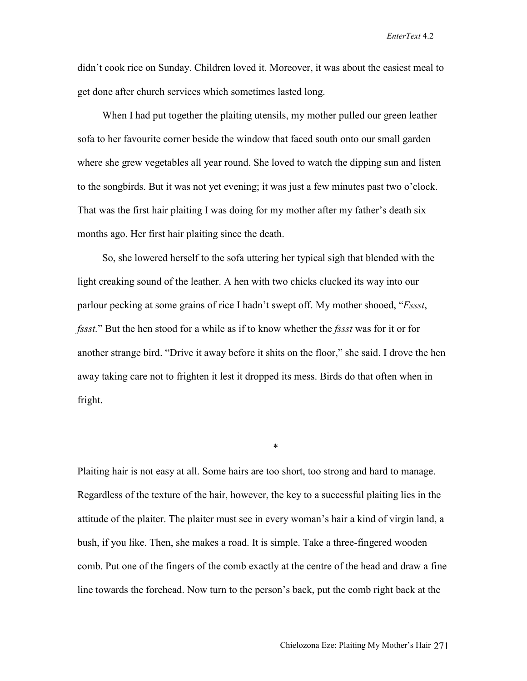didn't cook rice on Sunday. Children loved it. Moreover, it was about the easiest meal to get done after church services which sometimes lasted long.

When I had put together the plaiting utensils, my mother pulled our green leather sofa to her favourite corner beside the window that faced south onto our small garden where she grew vegetables all year round. She loved to watch the dipping sun and listen to the songbirds. But it was not yet evening; it was just a few minutes past two o'clock. That was the first hair plaiting I was doing for my mother after my father's death six months ago. Her first hair plaiting since the death.

So, she lowered herself to the sofa uttering her typical sigh that blended with the light creaking sound of the leather. A hen with two chicks clucked its way into our parlour pecking at some grains of rice I hadn't swept off. My mother shooed, "*Fssst*, *fssst.*" But the hen stood for a while as if to know whether the *fssst* was for it or for another strange bird. "Drive it away before it shits on the floor," she said. I drove the hen away taking care not to frighten it lest it dropped its mess. Birds do that often when in fright.

Plaiting hair is not easy at all. Some hairs are too short, too strong and hard to manage. Regardless of the texture of the hair, however, the key to a successful plaiting lies in the attitude of the plaiter. The plaiter must see in every woman's hair a kind of virgin land, a bush, if you like. Then, she makes a road. It is simple. Take a three-fingered wooden comb. Put one of the fingers of the comb exactly at the centre of the head and draw a fine line towards the forehead. Now turn to the person's back, put the comb right back at the

\*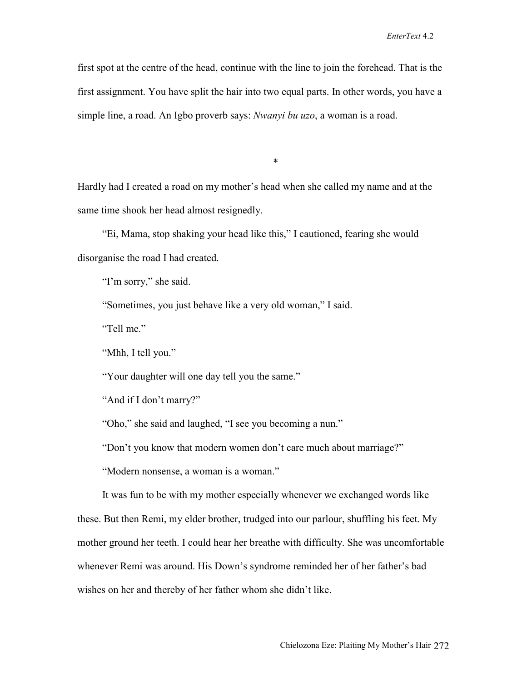first spot at the centre of the head, continue with the line to join the forehead. That is the first assignment. You have split the hair into two equal parts. In other words, you have a simple line, a road. An Igbo proverb says: *Nwanyi bu uzo*, a woman is a road.

\*

Hardly had I created a road on my mother's head when she called my name and at the same time shook her head almost resignedly.

"Ei, Mama, stop shaking your head like this," I cautioned, fearing she would disorganise the road I had created.

"I'm sorry," she said.

"Sometimes, you just behave like a very old woman," I said.

"Tell me."

"Mhh, I tell you."

"Your daughter will one day tell you the same."

"And if I don't marry?"

"Oho," she said and laughed, "I see you becoming a nun."

"Don't you know that modern women don't care much about marriage?"

"Modern nonsense, a woman is a woman."

It was fun to be with my mother especially whenever we exchanged words like these. But then Remi, my elder brother, trudged into our parlour, shuffling his feet. My mother ground her teeth. I could hear her breathe with difficulty. She was uncomfortable whenever Remi was around. His Down's syndrome reminded her of her father's bad wishes on her and thereby of her father whom she didn't like.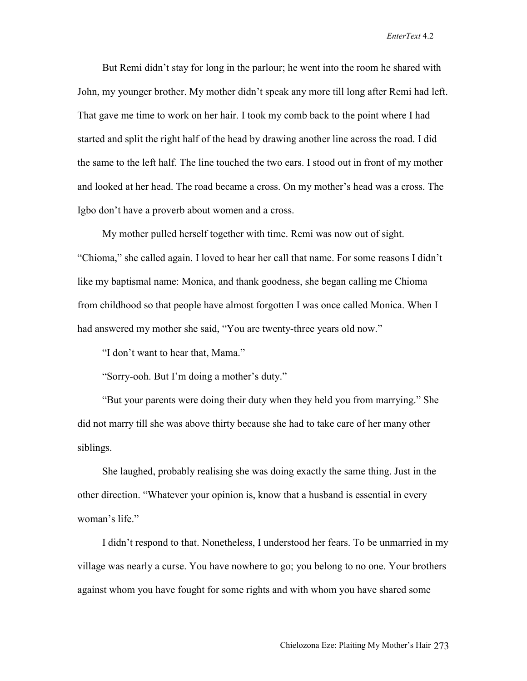But Remi didn't stay for long in the parlour; he went into the room he shared with John, my younger brother. My mother didn't speak any more till long after Remi had left. That gave me time to work on her hair. I took my comb back to the point where I had started and split the right half of the head by drawing another line across the road. I did the same to the left half. The line touched the two ears. I stood out in front of my mother and looked at her head. The road became a cross. On my mother's head was a cross. The Igbo don't have a proverb about women and a cross.

My mother pulled herself together with time. Remi was now out of sight. "Chioma," she called again. I loved to hear her call that name. For some reasons I didn't like my baptismal name: Monica, and thank goodness, she began calling me Chioma from childhood so that people have almost forgotten I was once called Monica. When I had answered my mother she said, "You are twenty-three years old now."

"I don't want to hear that, Mama."

"Sorry-ooh. But I'm doing a mother's duty."

"But your parents were doing their duty when they held you from marrying." She did not marry till she was above thirty because she had to take care of her many other siblings.

She laughed, probably realising she was doing exactly the same thing. Just in the other direction. "Whatever your opinion is, know that a husband is essential in every woman's life."

I didn't respond to that. Nonetheless, I understood her fears. To be unmarried in my village was nearly a curse. You have nowhere to go; you belong to no one. Your brothers against whom you have fought for some rights and with whom you have shared some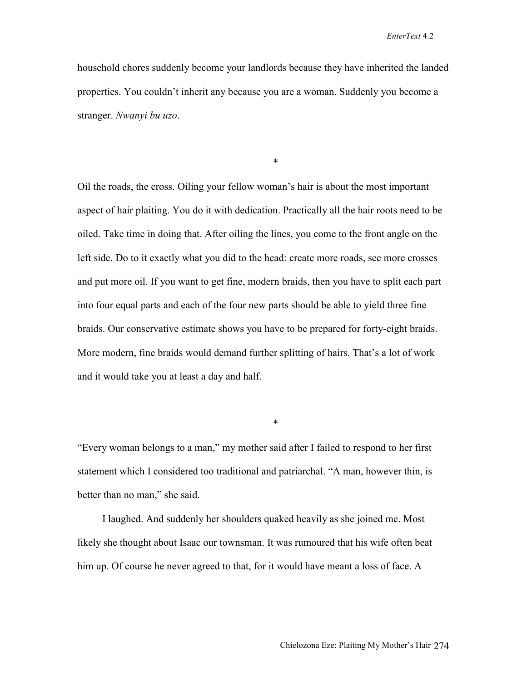household chores suddenly become your landlords because they have inherited the landed properties. You couldn't inherit any because you are a woman. Suddenly you become a stranger. *Nwanyi bu uzo*.

\*

Oil the roads, the cross. Oiling your fellow woman's hair is about the most important aspect of hair plaiting. You do it with dedication. Practically all the hair roots need to be oiled. Take time in doing that. After oiling the lines, you come to the front angle on the left side. Do to it exactly what you did to the head: create more roads, see more crosses and put more oil. If you want to get fine, modern braids, then you have to split each part into four equal parts and each of the four new parts should be able to yield three fine braids. Our conservative estimate shows you have to be prepared for forty-eight braids. More modern, fine braids would demand further splitting of hairs. That's a lot of work and it would take you at least a day and half.

"Every woman belongs to a man," my mother said after I failed to respond to her first statement which I considered too traditional and patriarchal. "A man, however thin, is better than no man," she said.

\*

I laughed. And suddenly her shoulders quaked heavily as she joined me. Most likely she thought about Isaac our townsman. It was rumoured that his wife often beat him up. Of course he never agreed to that, for it would have meant a loss of face. A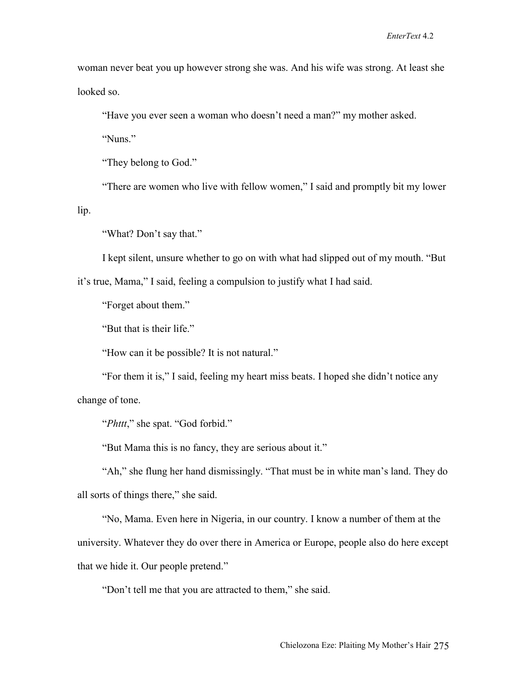woman never beat you up however strong she was. And his wife was strong. At least she looked so.

"Have you ever seen a woman who doesn't need a man?" my mother asked.

"Nuns"

"They belong to God."

"There are women who live with fellow women," I said and promptly bit my lower

lip.

"What? Don't say that."

I kept silent, unsure whether to go on with what had slipped out of my mouth. "But

it's true, Mama," I said, feeling a compulsion to justify what I had said.

"Forget about them."

"But that is their life."

"How can it be possible? It is not natural."

"For them it is," I said, feeling my heart miss beats. I hoped she didn't notice any change of tone.

"*Phttt*," she spat. "God forbid."

"But Mama this is no fancy, they are serious about it."

"Ah," she flung her hand dismissingly. "That must be in white man's land. They do all sorts of things there," she said.

"No, Mama. Even here in Nigeria, in our country. I know a number of them at the university. Whatever they do over there in America or Europe, people also do here except that we hide it. Our people pretend."

"Don't tell me that you are attracted to them," she said.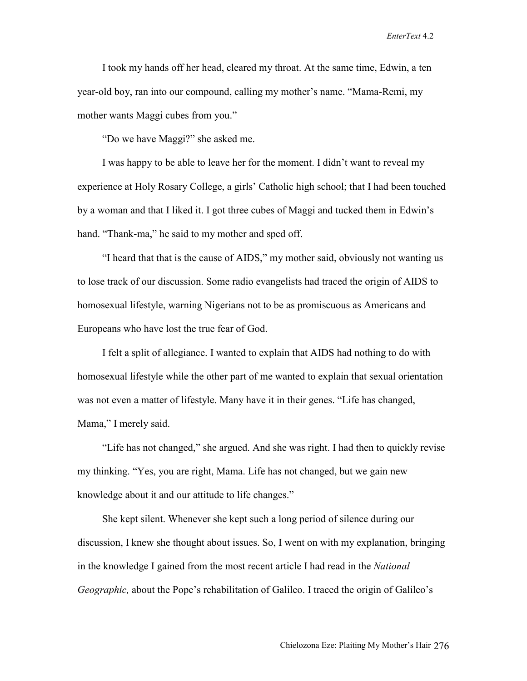I took my hands off her head, cleared my throat. At the same time, Edwin, a ten year-old boy, ran into our compound, calling my mother's name. "Mama-Remi, my mother wants Maggi cubes from you."

"Do we have Maggi?" she asked me.

I was happy to be able to leave her for the moment. I didn't want to reveal my experience at Holy Rosary College, a girls' Catholic high school; that I had been touched by a woman and that I liked it. I got three cubes of Maggi and tucked them in Edwin's hand. "Thank-ma," he said to my mother and sped off.

"I heard that that is the cause of AIDS," my mother said, obviously not wanting us to lose track of our discussion. Some radio evangelists had traced the origin of AIDS to homosexual lifestyle, warning Nigerians not to be as promiscuous as Americans and Europeans who have lost the true fear of God.

I felt a split of allegiance. I wanted to explain that AIDS had nothing to do with homosexual lifestyle while the other part of me wanted to explain that sexual orientation was not even a matter of lifestyle. Many have it in their genes. "Life has changed, Mama," I merely said.

"Life has not changed," she argued. And she was right. I had then to quickly revise my thinking. "Yes, you are right, Mama. Life has not changed, but we gain new knowledge about it and our attitude to life changes."

She kept silent. Whenever she kept such a long period of silence during our discussion, I knew she thought about issues. So, I went on with my explanation, bringing in the knowledge I gained from the most recent article I had read in the *National Geographic,* about the Pope's rehabilitation of Galileo. I traced the origin of Galileo's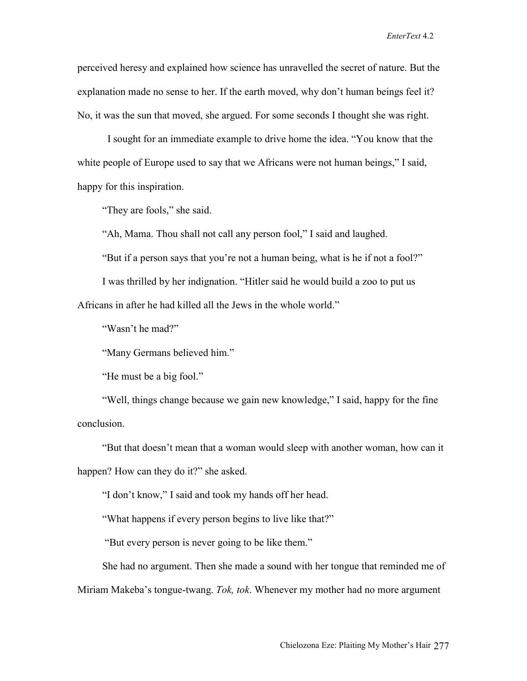perceived heresy and explained how science has unravelled the secret of nature. But the explanation made no sense to her. If the earth moved, why don't human beings feel it? No, it was the sun that moved, she argued. For some seconds I thought she was right.

 I sought for an immediate example to drive home the idea. "You know that the white people of Europe used to say that we Africans were not human beings," I said, happy for this inspiration.

"They are fools," she said.

"Ah, Mama. Thou shall not call any person fool," I said and laughed.

"But if a person says that you're not a human being, what is he if not a fool?"

I was thrilled by her indignation. "Hitler said he would build a zoo to put us

Africans in after he had killed all the Jews in the whole world."

"Wasn't he mad?"

"Many Germans believed him."

"He must be a big fool."

"Well, things change because we gain new knowledge," I said, happy for the fine conclusion.

"But that doesn't mean that a woman would sleep with another woman, how can it happen? How can they do it?" she asked.

"I don't know," I said and took my hands off her head.

"What happens if every person begins to live like that?"

"But every person is never going to be like them."

She had no argument. Then she made a sound with her tongue that reminded me of Miriam Makeba's tongue-twang. *Tok, tok*. Whenever my mother had no more argument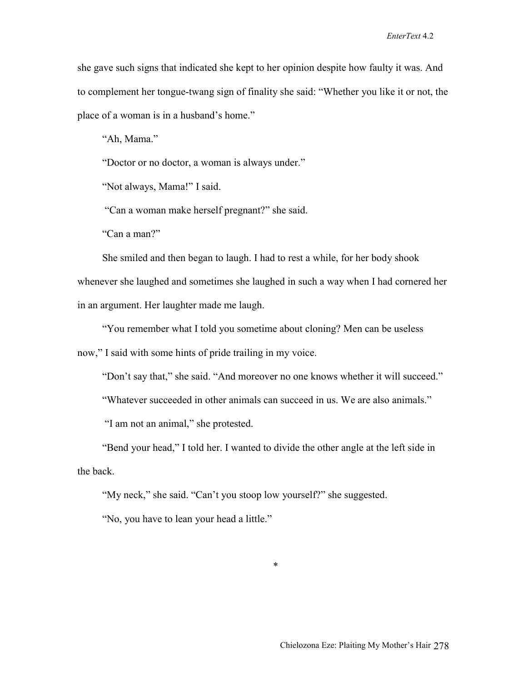she gave such signs that indicated she kept to her opinion despite how faulty it was. And to complement her tongue-twang sign of finality she said: "Whether you like it or not, the place of a woman is in a husband's home."

"Ah, Mama."

"Doctor or no doctor, a woman is always under."

"Not always, Mama!" I said.

"Can a woman make herself pregnant?" she said.

"Can a man?"

She smiled and then began to laugh. I had to rest a while, for her body shook whenever she laughed and sometimes she laughed in such a way when I had cornered her in an argument. Her laughter made me laugh.

"You remember what I told you sometime about cloning? Men can be useless now," I said with some hints of pride trailing in my voice.

"Don't say that," she said. "And moreover no one knows whether it will succeed."

"Whatever succeeded in other animals can succeed in us. We are also animals."

"I am not an animal," she protested.

"Bend your head," I told her. I wanted to divide the other angle at the left side in the back.

"My neck," she said. "Can't you stoop low yourself?" she suggested.

"No, you have to lean your head a little."

\*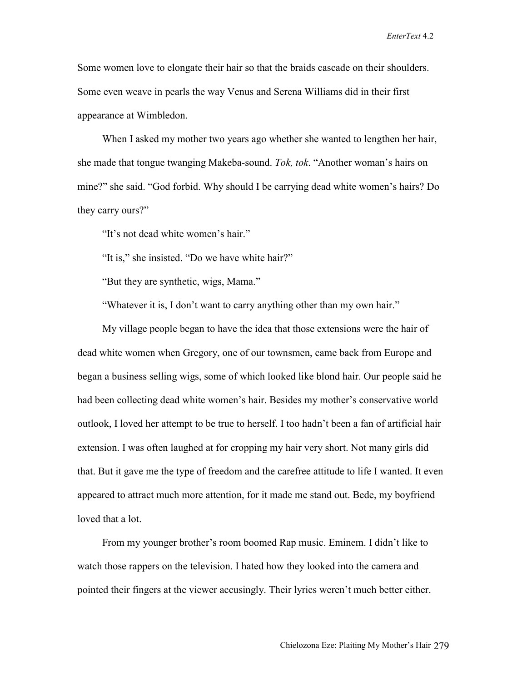Some women love to elongate their hair so that the braids cascade on their shoulders. Some even weave in pearls the way Venus and Serena Williams did in their first appearance at Wimbledon.

When I asked my mother two years ago whether she wanted to lengthen her hair, she made that tongue twanging Makeba-sound. *Tok, tok*. "Another woman's hairs on mine?" she said. "God forbid. Why should I be carrying dead white women's hairs? Do they carry ours?"

"It's not dead white women's hair."

"It is," she insisted. "Do we have white hair?"

"But they are synthetic, wigs, Mama."

"Whatever it is, I don't want to carry anything other than my own hair."

My village people began to have the idea that those extensions were the hair of dead white women when Gregory, one of our townsmen, came back from Europe and began a business selling wigs, some of which looked like blond hair. Our people said he had been collecting dead white women's hair. Besides my mother's conservative world outlook, I loved her attempt to be true to herself. I too hadn't been a fan of artificial hair extension. I was often laughed at for cropping my hair very short. Not many girls did that. But it gave me the type of freedom and the carefree attitude to life I wanted. It even appeared to attract much more attention, for it made me stand out. Bede, my boyfriend loved that a lot.

From my younger brother's room boomed Rap music. Eminem. I didn't like to watch those rappers on the television. I hated how they looked into the camera and pointed their fingers at the viewer accusingly. Their lyrics weren't much better either.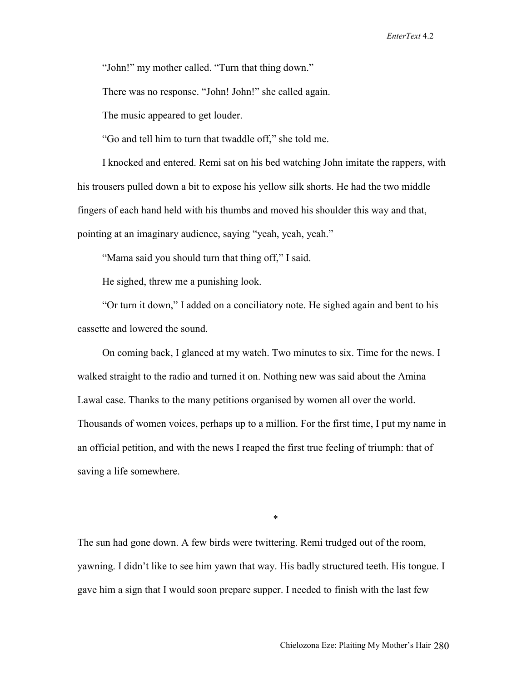"John!" my mother called. "Turn that thing down."

There was no response. "John! John!" she called again.

The music appeared to get louder.

"Go and tell him to turn that twaddle off," she told me.

I knocked and entered. Remi sat on his bed watching John imitate the rappers, with his trousers pulled down a bit to expose his yellow silk shorts. He had the two middle fingers of each hand held with his thumbs and moved his shoulder this way and that, pointing at an imaginary audience, saying "yeah, yeah, yeah."

"Mama said you should turn that thing off," I said.

He sighed, threw me a punishing look.

"Or turn it down," I added on a conciliatory note. He sighed again and bent to his cassette and lowered the sound.

On coming back, I glanced at my watch. Two minutes to six. Time for the news. I walked straight to the radio and turned it on. Nothing new was said about the Amina Lawal case. Thanks to the many petitions organised by women all over the world. Thousands of women voices, perhaps up to a million. For the first time, I put my name in an official petition, and with the news I reaped the first true feeling of triumph: that of saving a life somewhere.

\*

The sun had gone down. A few birds were twittering. Remi trudged out of the room, yawning. I didn't like to see him yawn that way. His badly structured teeth. His tongue. I gave him a sign that I would soon prepare supper. I needed to finish with the last few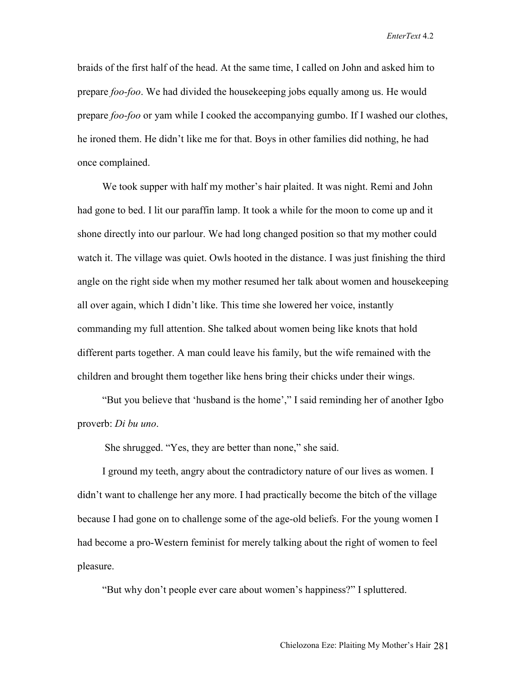braids of the first half of the head. At the same time, I called on John and asked him to prepare *foo-foo*. We had divided the housekeeping jobs equally among us. He would prepare *foo-foo* or yam while I cooked the accompanying gumbo. If I washed our clothes, he ironed them. He didn't like me for that. Boys in other families did nothing, he had once complained.

We took supper with half my mother's hair plaited. It was night. Remi and John had gone to bed. I lit our paraffin lamp. It took a while for the moon to come up and it shone directly into our parlour. We had long changed position so that my mother could watch it. The village was quiet. Owls hooted in the distance. I was just finishing the third angle on the right side when my mother resumed her talk about women and housekeeping all over again, which I didn't like. This time she lowered her voice, instantly commanding my full attention. She talked about women being like knots that hold different parts together. A man could leave his family, but the wife remained with the children and brought them together like hens bring their chicks under their wings.

"But you believe that 'husband is the home'," I said reminding her of another Igbo proverb: *Di bu uno*.

She shrugged. "Yes, they are better than none," she said.

I ground my teeth, angry about the contradictory nature of our lives as women. I didn't want to challenge her any more. I had practically become the bitch of the village because I had gone on to challenge some of the age-old beliefs. For the young women I had become a pro-Western feminist for merely talking about the right of women to feel pleasure.

"But why don't people ever care about women's happiness?" I spluttered.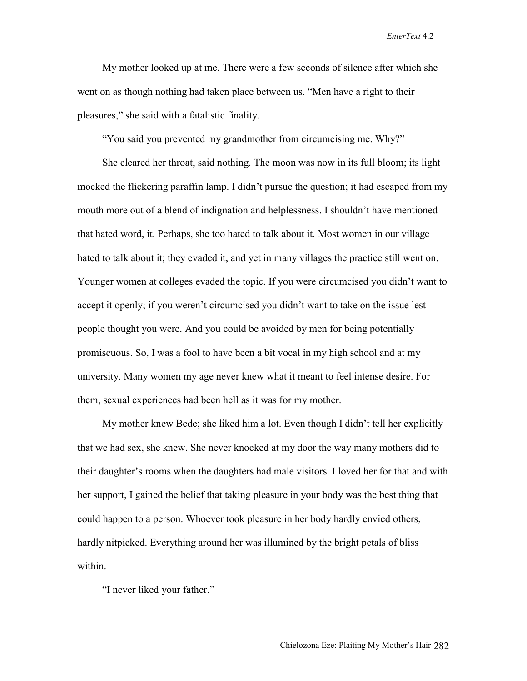My mother looked up at me. There were a few seconds of silence after which she went on as though nothing had taken place between us. "Men have a right to their pleasures," she said with a fatalistic finality.

"You said you prevented my grandmother from circumcising me. Why?"

She cleared her throat, said nothing. The moon was now in its full bloom; its light mocked the flickering paraffin lamp. I didn't pursue the question; it had escaped from my mouth more out of a blend of indignation and helplessness. I shouldn't have mentioned that hated word, it. Perhaps, she too hated to talk about it. Most women in our village hated to talk about it; they evaded it, and yet in many villages the practice still went on. Younger women at colleges evaded the topic. If you were circumcised you didn't want to accept it openly; if you weren't circumcised you didn't want to take on the issue lest people thought you were. And you could be avoided by men for being potentially promiscuous. So, I was a fool to have been a bit vocal in my high school and at my university. Many women my age never knew what it meant to feel intense desire. For them, sexual experiences had been hell as it was for my mother.

My mother knew Bede; she liked him a lot. Even though I didn't tell her explicitly that we had sex, she knew. She never knocked at my door the way many mothers did to their daughter's rooms when the daughters had male visitors. I loved her for that and with her support, I gained the belief that taking pleasure in your body was the best thing that could happen to a person. Whoever took pleasure in her body hardly envied others, hardly nitpicked. Everything around her was illumined by the bright petals of bliss within.

"I never liked your father."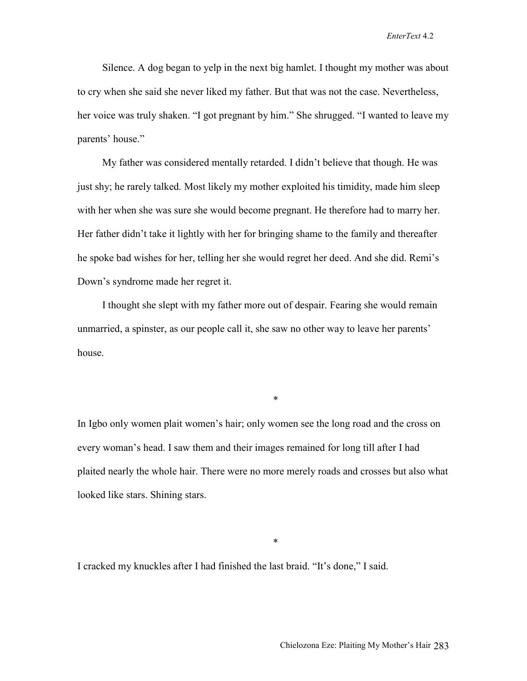Silence. A dog began to yelp in the next big hamlet. I thought my mother was about to cry when she said she never liked my father. But that was not the case. Nevertheless, her voice was truly shaken. "I got pregnant by him." She shrugged. "I wanted to leave my parents' house."

My father was considered mentally retarded. I didn't believe that though. He was just shy; he rarely talked. Most likely my mother exploited his timidity, made him sleep with her when she was sure she would become pregnant. He therefore had to marry her. Her father didn't take it lightly with her for bringing shame to the family and thereafter he spoke bad wishes for her, telling her she would regret her deed. And she did. Remi's Down's syndrome made her regret it.

I thought she slept with my father more out of despair. Fearing she would remain unmarried, a spinster, as our people call it, she saw no other way to leave her parents' house.

\*

In Igbo only women plait women's hair; only women see the long road and the cross on every woman's head. I saw them and their images remained for long till after I had plaited nearly the whole hair. There were no more merely roads and crosses but also what looked like stars. Shining stars.

\*

I cracked my knuckles after I had finished the last braid. "It's done," I said.